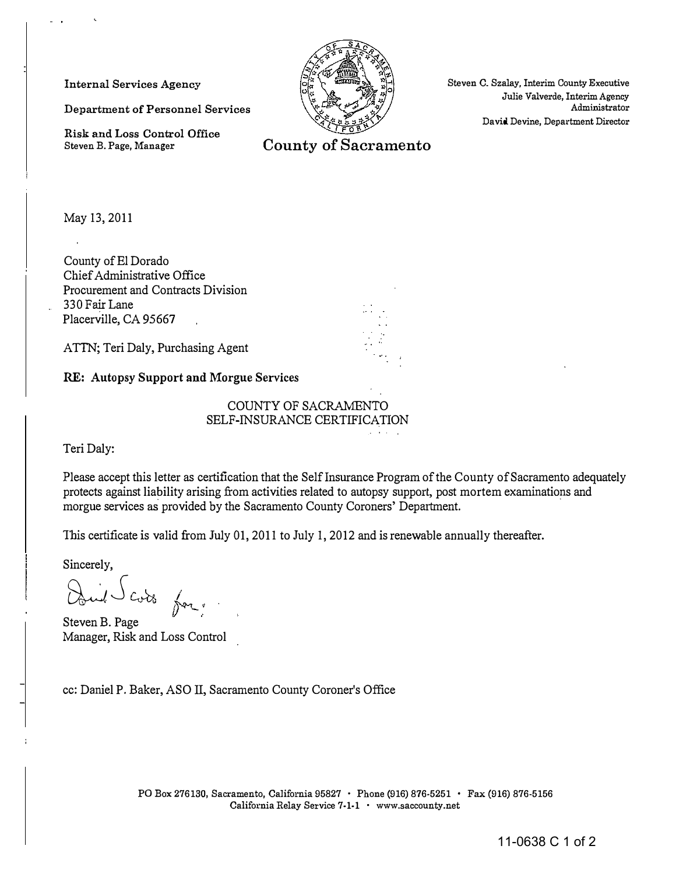Internal Services Agency

Department of Personnel Services

Risk and Loss Control Office Steven B. Page, Manager

Steven C. Szalay. Interim County Executive Julie Valverde, Interim Agency Administrator David Devine, Department Director

County of Sacramento

May 13, 2011

County of El Dorado Chief Administrative Office Procurement and Contracts Division 330 Fair Lane Placerville, CA 95667

ATTN; Teri Daly, Purchasing Agent

RE: Autopsy Support and Morgue Services

COUNTY OF SACRAMENTO SELF-INSURANCE CERTIFICATION

Teri Daly:

Please accept this letter as certification that the Self Insurance Program of the County of Sacramento adequately protects against hability arising from activities related to autopsy support, post mortem examinations and morgue services as provided by the Sacramento County Coroners' Department.

provide a con-

This certificate is valid from July 01, 2011 to July 1, 2012 and is renewable annually thereafter.

Sincerely,

Duil Cots for.  $y$  -  $\sim$ 

Steven B. Page Manager, Risk and Loss Control

cc: Daniel P. Baker, ASO II, Sacramento County Coroner's Office